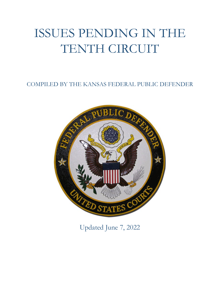# ISSUES PENDING IN THE TENTH CIRCUIT

COMPILED BY THE KANSAS FEDERAL PUBLIC DEFENDER



Updated June 7, 2022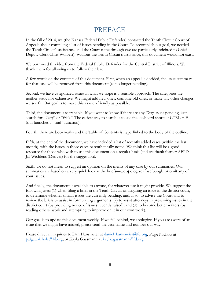# PREFACE

In the fall of 2014, we (the Kansas Federal Public Defender) contacted the Tenth Circuit Court of Appeals about compiling a list of issues pending in the Court. To accomplish our goal, we needed the Tenth Circuit's assistance, and the Court came through (we are particularly indebted to Chief Deputy Clerk Chris Wolpert). Without the Tenth Circuit's assistance, this document would not exist.

We borrowed this idea from the Federal Public Defender for the Central District of Illinois. We thank them for allowing us to follow their lead.

A few words on the contents of this document. First, when an appeal is decided, the issue summary for that case will be removed from this document (as no longer pending).

Second, we have categorized issues in what we hope is a sensible approach. The categories are neither static nor exhaustive. We might add new ones, combine old ones, or make any other changes we see fit. Our goal is to make this as user-friendly as possible.

Third, the document is searchable. If you want to know if there are any *Terry* issues pending, just search for "*Terry*" or "frisk." The easiest way to search is to use the keyboard shortcut CTRL + F (this launches a "find" function).

Fourth, there are bookmarks and the Table of Contents is hyperlinked to the body of the outline.

Fifth, at the end of the document, we have included a list of recently added cases (within the last month), with the issues in those cases parenthetically noted. We think this list will be a good resource for those who wish to use this document on a regular basis (and we thank former AFPD Jill Wichlens (Denver) for the suggestion).

Sixth, we do not mean to suggest an opinion on the merits of any case by our summaries. Our summaries are based on a very quick look at the briefs—we apologize if we bungle or omit any of your issues.

And finally, the document is available to anyone, for whatever use it might provide. We suggest the following uses: (1) when filing a brief in the Tenth Circuit or litigating an issue in the district court, to determine whether similar issues are currently pending, and, if so, to advise the Court and to review the briefs to assist in formulating arguments; (2) to assist attorneys in preserving issues in the district court (by providing notice of issues recently raised); and (3) to become better writers (by reading others' work and attempting to improve on it in our own work).

Our goal is to update this document weekly. If we fall behind, we apologize. If you are aware of an issue that we might have missed, please send the case name and number our way.

Please direct all inquiries to Dan Hansmeier at  $d$ aniel hansmeier@fd.org, Paige Nichols at [paige\\_nichols@fd.org,](mailto:paige_nichols@fd.org) or Kayla Gassmann at [kayla\\_gassmann@fd.org.](mailto:kayla_gassmann@fd.org)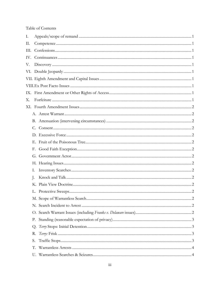#### Table of Contents

| I.  |                |  |
|-----|----------------|--|
| П.  |                |  |
| Ш.  |                |  |
| IV. |                |  |
| V.  |                |  |
|     |                |  |
|     |                |  |
|     |                |  |
|     |                |  |
| Х.  |                |  |
|     |                |  |
|     |                |  |
|     |                |  |
|     |                |  |
|     |                |  |
|     |                |  |
|     | F.             |  |
|     |                |  |
|     |                |  |
|     | Ι.             |  |
|     | $\mathbf{J}$ . |  |
|     |                |  |
|     |                |  |
|     |                |  |
|     |                |  |
|     |                |  |
|     | Р.             |  |
|     |                |  |
|     | R.             |  |
|     | S.             |  |
|     | Т.             |  |
|     | U.             |  |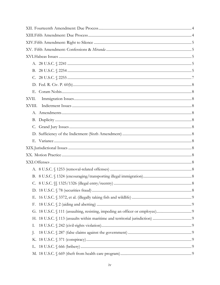| XVII.  |  |  |  |
|--------|--|--|--|
| XVIII. |  |  |  |
|        |  |  |  |
|        |  |  |  |
|        |  |  |  |
|        |  |  |  |
|        |  |  |  |
|        |  |  |  |
|        |  |  |  |
|        |  |  |  |
|        |  |  |  |
|        |  |  |  |
|        |  |  |  |
|        |  |  |  |
| Е.     |  |  |  |
| F.     |  |  |  |
|        |  |  |  |
|        |  |  |  |
| Ι.     |  |  |  |
| J.     |  |  |  |
|        |  |  |  |
|        |  |  |  |
|        |  |  |  |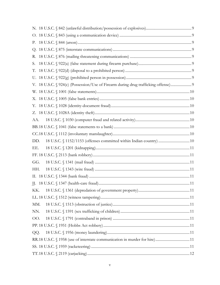| Р.  |                                                                                   |  |
|-----|-----------------------------------------------------------------------------------|--|
|     |                                                                                   |  |
| R.  |                                                                                   |  |
| S.  |                                                                                   |  |
| Т.  |                                                                                   |  |
|     |                                                                                   |  |
|     | V. 18 U.S.C. § 924(c) (Possession/Use of Firearm during drug trafficking offense) |  |
|     |                                                                                   |  |
|     |                                                                                   |  |
|     |                                                                                   |  |
|     |                                                                                   |  |
| AA. |                                                                                   |  |
|     |                                                                                   |  |
|     |                                                                                   |  |
| DD. | 18 U.S.C. § 1152/1153 (offenses committed within Indian country)  10              |  |
| EE. |                                                                                   |  |
|     |                                                                                   |  |
| GG. |                                                                                   |  |
| HH. |                                                                                   |  |
|     |                                                                                   |  |
|     |                                                                                   |  |
| KK. |                                                                                   |  |
|     |                                                                                   |  |
| MM. |                                                                                   |  |
| NN. |                                                                                   |  |
| OO. |                                                                                   |  |
|     |                                                                                   |  |
| QQ. |                                                                                   |  |
|     |                                                                                   |  |
|     |                                                                                   |  |
|     |                                                                                   |  |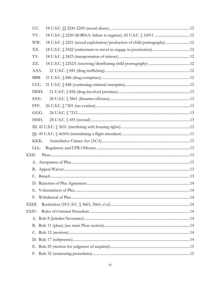| UU.                                                                              |  |
|----------------------------------------------------------------------------------|--|
| VV.                                                                              |  |
| 18 U.S.C. § 2251 (sexual exploitation/production of child pornography) 12<br>WW. |  |
| XX.                                                                              |  |
| YY.                                                                              |  |
| ZZ.                                                                              |  |
| AAA.                                                                             |  |
| BBB.                                                                             |  |
| CCC.                                                                             |  |
| DDD.                                                                             |  |
| EEE.                                                                             |  |
| FFF.                                                                             |  |
| GGG.                                                                             |  |
| HHH.                                                                             |  |
|                                                                                  |  |
|                                                                                  |  |
| KKK.                                                                             |  |
| LLL.                                                                             |  |
| XXII.                                                                            |  |
|                                                                                  |  |
|                                                                                  |  |
|                                                                                  |  |
|                                                                                  |  |
|                                                                                  |  |
| F.                                                                               |  |
| XXIII.                                                                           |  |
| XXIV.                                                                            |  |
|                                                                                  |  |
|                                                                                  |  |
|                                                                                  |  |
|                                                                                  |  |
|                                                                                  |  |
| F.                                                                               |  |
|                                                                                  |  |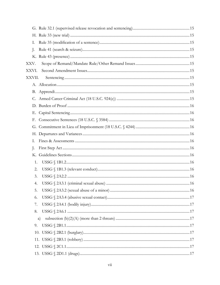| Ι.             |    |  |
|----------------|----|--|
| J.             |    |  |
|                |    |  |
| XXV.           |    |  |
| XXVI.          |    |  |
| XXVII.         |    |  |
|                |    |  |
|                |    |  |
|                |    |  |
|                |    |  |
| Е.             |    |  |
| F.             |    |  |
|                |    |  |
|                |    |  |
| $\mathbf{I}$ . |    |  |
| $\cdot$        |    |  |
|                |    |  |
| 1.             |    |  |
| 2.             |    |  |
| 3.             |    |  |
| 4.             |    |  |
| 5.             |    |  |
| 6.             |    |  |
| 7.             |    |  |
| 8.             |    |  |
|                | a) |  |
| 9.             |    |  |
| 10.            |    |  |
|                |    |  |
|                |    |  |
|                |    |  |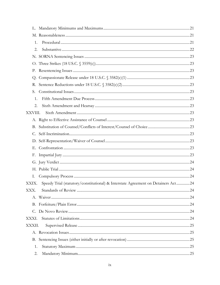| L.      |                                                                                   |  |
|---------|-----------------------------------------------------------------------------------|--|
|         |                                                                                   |  |
| 1.      |                                                                                   |  |
| 2.      |                                                                                   |  |
|         |                                                                                   |  |
|         |                                                                                   |  |
| Р.      |                                                                                   |  |
|         |                                                                                   |  |
| R.      |                                                                                   |  |
| S.      |                                                                                   |  |
| 1.      |                                                                                   |  |
| 2.      |                                                                                   |  |
| XXVIII. |                                                                                   |  |
|         |                                                                                   |  |
| B.      |                                                                                   |  |
| C.      |                                                                                   |  |
|         |                                                                                   |  |
| Е.      |                                                                                   |  |
| F.      |                                                                                   |  |
|         |                                                                                   |  |
|         |                                                                                   |  |
| Ι.      |                                                                                   |  |
| XXIX.   | Speedy Trial (statutory/constitutional) & Interstate Agreement on Detainers Act24 |  |
| XXX.    |                                                                                   |  |
|         |                                                                                   |  |
|         |                                                                                   |  |
|         |                                                                                   |  |
| XXXI.   |                                                                                   |  |
| XXXII.  |                                                                                   |  |
|         |                                                                                   |  |
|         |                                                                                   |  |
| 1.      |                                                                                   |  |
| 2.      |                                                                                   |  |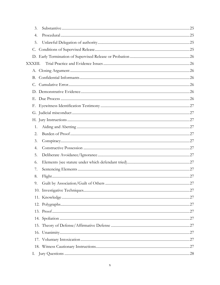| 3.      |  |
|---------|--|
| 4.      |  |
| 5.      |  |
|         |  |
|         |  |
| XXXIII. |  |
|         |  |
|         |  |
|         |  |
|         |  |
|         |  |
|         |  |
|         |  |
|         |  |
| 1.      |  |
| 2.      |  |
| 3.      |  |
| 4.      |  |
| 5.      |  |
| 6.      |  |
| 7.      |  |
| 8.      |  |
| 9.      |  |
|         |  |
|         |  |
|         |  |
|         |  |
|         |  |
|         |  |
|         |  |
|         |  |
|         |  |
| Ι.      |  |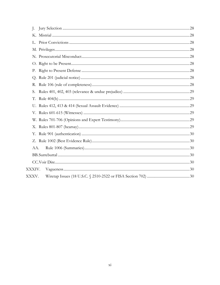| J.     |  |
|--------|--|
|        |  |
|        |  |
|        |  |
|        |  |
|        |  |
| Р.     |  |
|        |  |
| R.     |  |
| S.     |  |
| T.     |  |
|        |  |
|        |  |
|        |  |
|        |  |
|        |  |
|        |  |
| AA.    |  |
|        |  |
|        |  |
| XXXIV. |  |
| XXXV.  |  |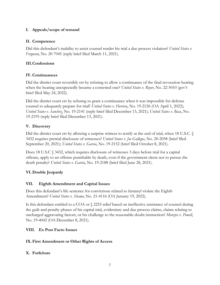#### <span id="page-11-0"></span>**I. Appeals/scope of remand**

#### <span id="page-11-1"></span>**II. Competence**

Did this defendant's inability to assist counsel render his trial a due process violation? *United States v. Ferguson*, No. 20-7045 (reply brief filed March 11, 2021).

#### <span id="page-11-2"></span>**III.Confessions**

#### <span id="page-11-3"></span>**IV. Continuances**

Did the district court reversibly err by refusing to allow a continuance of the final revocation hearing when the hearing unexpectedly became a contested one? *United States v. Royer*, No. 22-5010 (gov't brief filed May 24, 2022).

Did the district court err by refusing to grant a continuance when it was impossible for defense counsel to adequately prepare for trial? *United States v. Herrera*, No. 19-2126 (OA April 1, 2022); *United States v. Sanchez*, No. 19-2141 (reply brief filed December 13, 2021); *United States v. Baca*, No. 19-2195 (reply brief filed December 13, 2021).

#### <span id="page-11-4"></span>**V. Discovery**

Did the district court err by allowing a surprise witness to testify at the end of trial, when 18 U.S.C. § 3432 requires pretrial disclosure of witnesses? *United States v. Joe Gallegos*, No. 20-2058 (brief filed September 20, 2021); *United States v. Garcia*, No. 19-2152 (brief filed October 8, 2021).

Does 18 U.S.C § 3432, which requires disclosure of witnesses 3 days before trial for a capital offense, apply to an offense punishable by death, even if the government elects not to pursue the death penalty? *United States v. Garcia*, No. 19-2188 (brief filed June 28, 2021).

#### <span id="page-11-5"></span>**VI. Double Jeopardy**

#### <span id="page-11-6"></span>**VII. Eighth Amendment and Capital Issues**

Does this defendant's life sentence for convictions related to fentanyl violate the Eighth Amendment? *United States v. Shamo*, No. 21-4116 (OA January 19, 2022).

Is this defendant entitled to a COA or § 2255 relief based on ineffective assistance of counsel during the guilt and penalty phases of his capital trial, evidentiary and due process claims, claims relating to uncharged aggravating factors, or his challenge to the reasonable-doubt instruction? *Menzies v. Powell*, No. 19-4042 (OA December 8, 2021).

#### <span id="page-11-7"></span>**VIII. Ex Post Facto Issues**

#### <span id="page-11-8"></span>**IX.First Amendment or Other Rights of Access**

#### <span id="page-11-9"></span>**X. Forfeiture**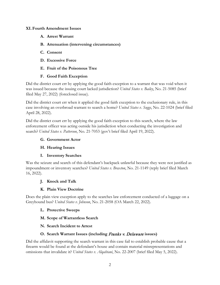#### <span id="page-12-2"></span><span id="page-12-1"></span><span id="page-12-0"></span>**XI.Fourth Amendment Issues**

- **A. Arrest Warrant**
- **B. Attenuation (intervening circumstances)**
- <span id="page-12-3"></span>**C. Consent**
- <span id="page-12-4"></span>**D. Excessive Force**
- <span id="page-12-5"></span>**E. Fruit of the Poisonous Tree**

#### **F. Good Faith Exception**

<span id="page-12-6"></span>Did the district court err by applying the good faith exception to a warrant that was void when it was issued because the issuing court lacked jurisdiction? *United States v. Bailey*, No. 21-5085 (brief filed May 27, 2022) (foreclosed issue).

Did the district court err when it applied the good faith exception to the exclusionary rule, in this case involving an overbroad warrant to search a home? *United States v. Suggs*, No. 22-1024 (brief filed April 28, 2022).

Did the district court err by applying the good faith exception to this search, where the law enforcement officer was acting outside his jurisdiction when conducting the investigation and search? *United States v. Patterson*, No. 21-7053 (gov't brief filed April 19, 2022).

#### <span id="page-12-7"></span>**G. Government Actor**

#### <span id="page-12-8"></span>**H. Hearing Issues**

#### **I. Inventory Searches**

<span id="page-12-9"></span>Was the seizure and search of this defendant's backpack unlawful because they were not justified as impoundment or inventory searches? *United States v. Braxton*, No. 21-1149 (reply brief filed March 16, 2022).

#### <span id="page-12-10"></span>**J. Knock and Talk**

#### **K. Plain View Doctrine**

<span id="page-12-12"></span><span id="page-12-11"></span>Does the plain view exception apply to the searches law enforcement conducted of a luggage on a Greyhound bus? *United States v. Johnson*, No. 21-2058 (OA March 22, 2022).

#### **L. Protective Sweeps**

- <span id="page-12-13"></span>**M. Scope of Warrantless Search**
- <span id="page-12-14"></span>**N. Search Incident to Arrest**

#### **O. Search Warrant Issues (including** Franks v. Delaware **issues)**

<span id="page-12-15"></span>Did the affidavit supporting the search warrant in this case fail to establish probable cause that a firearm would be found at the defendant's house and contain material misrepresentations and omissions that invalidate it? *United States v. Alqahtani*, No. 22-2007 (brief filed May 5, 2022).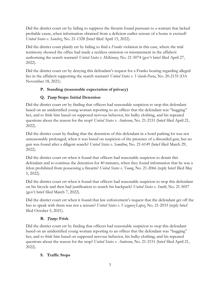Did the district court err by failing to suppress the firearm found pursuant to a warrant that lacked probable cause, when information obtained from a deficient earlier seizure of a home is excised? *United States v. Sanchez*, No. 21-1328 (brief filed April 15, 2022).

Did the district court plainly err by failing to find a *Franks* violation in this case, where the trial testimony showed the office had made a reckless omission or misstatement in the affidavit authorizing the search warrant? *United States v. McKinney*, No. 21-5074 (gov't brief filed April 27, 2022).

Did the district court err by denying this defendant's request for a Franks hearing regarding alleged lies in the affidavit supporting the search warrant? *United States v. Velarde-Pavia*, No. 20-2135 (OA November 18, 2021).

# <span id="page-13-0"></span>**P. Standing (reasonable expectation of privacy)**

# **Q.** Terry **Stops: Initial Detention**

<span id="page-13-1"></span>Did the district court err by finding that officers had reasonable suspicion to stop this defendant based on an unidentified young woman reporting to an officer that the defendant was "bugging" her, and to frisk him based on supposed nervous behavior, his bulky clothing, and his repeated questions about the reason for the stop? *United States v. Anderson*, No. 21-2151 (brief filed April 21, 2022).

Did the district court by finding that the detention of this defendant in a hotel parking lot was not unreasonably prolonged, when it was based on suspicion of the presence of a discarded gun, but no gun was found after a diligent search? *United States v. Samilton*, No. 21-6149 (brief filed March 29, 2022).

Did the district court err when it found that officers had reasonable suspicion to detain this defendant and to continue the detention for 40 minutes, when they found information that he was a felon prohibited from possessing a firearm? *United States v. Young*, No. 21-2066 (reply brief filed May 5, 2022).

Did the district court err when it found that officers had reasonable suspicion to stop this defendant on his bicycle and then had justification to search his backpack? *United States v. Smith*, No. 21-5057 (gov't brief filed March 7, 2022).

Did the district court err when it found that law enforcement's request that the defendant get off the bus to speak with them was not a seizure? *United States v. Vazquez-Lopez*, No. 21-2033 (reply brief filed October 5, 2021).

#### **R.** Terry: **Frisk**

<span id="page-13-2"></span>Did the district court err by finding that officers had reasonable suspicion to stop this defendant based on an unidentified young woman reporting to an officer that the defendant was "bugging" her, and to frisk him based on supposed nervous behavior, his bulky clothing, and his repeated questions about the reason for the stop? *United States v. Anderson*, No. 21-2151 (brief filed April 21, 2022).

# <span id="page-13-3"></span>**S. Traffic Stops**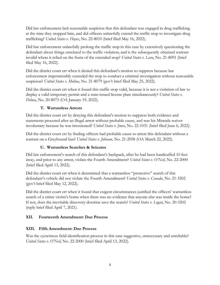Did law enforcement lack reasonable suspicion that this defendant was engaged in drug trafficking at the time they stopped him, and did officers unlawfully extend the traffic stop to investigate drug trafficking? *United States v. Hayes*, No. 22-8010 (brief filed May 16, 2022).

Did law enforcement unlawfully prolong the traffic stop in this case by extensively questioning the defendant about things unrelated to the traffic violation; and is the subsequently obtained warrant invalid where it relied on the fruits of the extended stop? *United States v. Lara*, No. 21-8091 (brief filed May 16, 2022).

Did the district court err when it denied this defendant's motion to suppress because law enforcement impermissibly extended the stop to conduct a criminal investigation without reasonable suspicion? *United States v. Molina*, No. 21-8079 (gov't brief filed May 25, 2022).

Did the district court err when it found this traffic stop valid, because it is not a violation of law to display a valid temporary permit and a state-issued license plate simultaneously? *United States v. Deluca*, No. 20-8075 (OA January 19, 2022).

#### **T. Warrantless Arrests**

<span id="page-14-0"></span>Did the district court err by denying this defendant's motion to suppress both evidence and statements procured after an illegal arrest without probable cause, and was his Miranda waiver involuntary because he was intoxicated? *United States v. Jones*, No. 22-1031 (brief filed June 6, 2022).

Did the district court err by finding officers had probable cause to arrest this defendant without a warrant on a Greyhound bus? *United States v. Johnson*, No. 21-2058 (OA March 22, 2022).

#### **U. Warrantless Searches & Seizures**

<span id="page-14-1"></span>Did law enforcement's search of this defendant's backpack, after he had been handcuffed 10 feet away, and prior to any arrest, violate the Fourth Amendment? *United States v. O'Neil*, No. 22-2000 (brief filed April 13, 2022).

Did the district court err when it determined that a warrantless "protective" search of this defendant's vehicle did not violate the Fourth Amendment? *United States v. Canada*, No. 21-3202 (gov't brief filed May 12, 2022).

Did the district court err when it found that exigent circumstances justified the officers' warrantless search of a crime victim's home when there was no evidence that anyone else was inside the home? If not, does the inevitable discovery doctrine save the search? *United States v. Logan*, No. 20-3202 (reply brief filed April 7, 2021).

#### <span id="page-14-2"></span>**XII. Fourteenth Amendment: Due Process**

#### <span id="page-14-3"></span>**XIII. Fifth Amendment: Due Process**

Was the eyewitness field identification process in this case suggestive, unnecessary and unreliable? *United States v. O'Neil*, No. 22-2000 (brief filed April 13, 2022).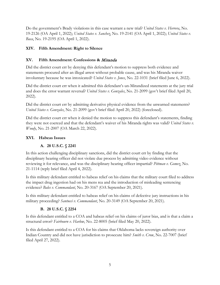Do the government's Brady violations in this case warrant a new trial? *United States v. Herrera*, No. 19-2126 (OA April 1, 2022); *United States v. Sanchez*, No. 19-2141 (OA April 1, 2022); *United States v. Baca*, No. 19-2195 (OA April 1, 2022).

#### <span id="page-15-0"></span>**XIV. Fifth Amendment: Right to Silence**

#### <span id="page-15-1"></span>**XV. Fifth Amendment: Confessions &** Miranda

Did the district court err by denying this defendant's motion to suppress both evidence and statements procured after an illegal arrest without probable cause, and was his Miranda waiver involuntary because he was intoxicated? *United States v. Jones*, No. 22-1031 (brief filed June 6, 2022).

Did the district court err when it admitted this defendant's un-Mirandized statements at the jury trial and does the error warrant reversal? *United States v. Gonzales*, No. 21-2099 (gov't brief filed April 20, 2022).

Did the district court err by admitting derivative physical evidence from the unwarned statements? *United States v. Gonzales*, No. 21-2099 (gov't brief filed April 20, 2022) (foreclosed).

Did the district court err when it denied the motion to suppress this defendant's statements, finding they were not coerced and that the defendant's waiver of his Miranda rights was valid? *United States v. Woody*, No. 21-2007 (OA March 22, 2022).

#### <span id="page-15-3"></span><span id="page-15-2"></span>**XVI. Habeas Issues**

#### **A. 28 U.S.C. § 2241**

In this action challenging disciplinary sanctions, did the district court err by finding that the disciplinary hearing officer did not violate due process by admitting video evidence without reviewing it for relevance, and was the disciplinary hearing officer impartial? *Pittman v. Gomez*, No. 21-1114 (reply brief filed April 4, 2022).

Is this military defendant entitled to habeas relief on his claims that the military court filed to address the impact drug ingestion had on his mens rea and the introduction of misleading sentencing evidence? *Bales v. Commandant*, No. 20-3167 (OA September 20, 2021).

Is this military defendant entitled to habeas relief on his claims of defective jury instructions in his military proceeding? *Santucci v. Commandant*, No. 20-3149 (OA September 20, 2021).

#### **B. 28 U.S.C. § 2254**

<span id="page-15-4"></span>Is this defendant entitled to a COA and habeas relief on his claims of juror bias, and is that a claim a structural error? *Fairbourn v. Harlow*, No. 22-8005 (brief filed May 20, 2022).

Is this defendant entitled to a COA for his claims that Oklahoma lacks sovereign authority over Indian Country and did not have jurisdiction to prosecute him? *Smith v. Crow*, No. 22-7007 (brief filed April 27, 2022).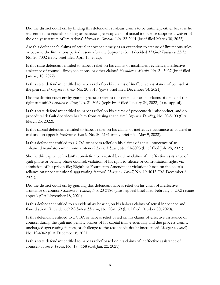Did the district court err by finding this defendant's habeas claims to be untimely, either because he was entitled to equitable tolling or because a gateway claim of actual innocence supports a waiver of the one-year statute of limitations? *Hinojos v. Colorado*, No. 22-2001 (brief filed March 30, 2022).

Are this defendant's claims of actual innocence timely as an exception to statute-of-limitations rules, or because the limitations period resent after the Supreme Court decided *McGirt*? *Pacheco v. Habti*, No. 20-7002 (reply brief filed April 13, 2022).

Is this state defendant entitled to habeas relief on his claims of insufficient evidence, ineffective assistance of counsel, Brady violations, or other claims? *Hamilton v. Martin*, No. 21-5027 (brief filed January 10, 2022).

Is this state defendant entitled to habeas relief on his claims of ineffective assistance of counsel at the plea stage? *Clayton v. Crow*, No. 20-7015 (gov't brief filed December 14, 2021).

Did the district court err by granting habeas relief to this defendant on his claims of denial of the right to testify? *Lewallen v. Crow*, No. 21-5069 (reply brief filed January 24, 2022) (state appeal).

Is this state defendant entitled to habeas relief on his claims of prosecutorial misconduct, and do procedural default doctrines bar him from raising that claim? *Bryant v. Dowling*, No. 20-5100 (OA March 23, 2022).

Is this capital defendant entitled to habeas relief on his claims of ineffective assistance of counsel at trial and on appeal? *Frederick v. Farris*, No. 20-6131 (reply brief filed May 9, 2022).

Is this defendant entitled to a COA or habeas relief on his claims of actual innocence of an enhanced mandatory-minimum sentence? *Lee v. Schnurr*, No. 21-3098 (brief filed July 28, 2021).

Should this capital defendant's conviction be vacated based on claims of: ineffective assistance of guilt phase or penalty phase counsel; violation of his right to silence or confrontation rights via admission of his prison file; Eighth or Fourteenth Amendment violations based on the court's reliance on unconstitutional aggravating factors? *Menzies v. Powell*, No. 19-4042 (OA December 8, 2021).

Did the district court err by granting this defendant habeas relief on his claim of ineffective assistance of counsel? *Sumpter v. Kansas*, No. 20-3186 (cross-appeal brief filed February 5, 2021) (state appeal) (OA November 18, 2021).

Is this defendant entitled to an evidentiary hearing on his habeas claims of actual innocence and flawed scientific evidence? *Nicholls v. Hansen*, No. 20-1159 (brief filed October 30, 2020).

Is this defendant entitled to a COA or habeas relief based on his claims of effective assistance of counsel during the guilt and penalty phases of his capital trial, evidentiary and due process claims, uncharged aggravating factors, or challenge to the reasonable-doubt instruction? *Menzies v. Powell*, No. 19-4042 (OA December 8, 2021).

Is this state defendant entitled to habeas relief based on his claims of ineffective assistance of counsel? *Honie v. Powell*, No. 19-4158 (OA Jan. 22, 2021).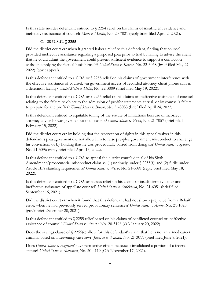Is this state murder defendant entitled to § 2254 relief on his claims of insufficient evidence and ineffective assistance of counsel? *Meek v. Martin*, No. 20-7021 (reply brief filed April 2, 2021).

# **C. 28 U.S.C. § 2255**

<span id="page-17-0"></span>Did the district court err when it granted habeas relief to this defendant, finding that counsel provided ineffective assistance regarding a proposed plea prior to trial by failing to advise the client that he could admit the government could present sufficient evidence to support a conviction without supplying the factual basis himself? *United States v. Kearns*, No. 22-3068 (brief filed May 27, 2022) (gov't appeal).

Is this defendant entitled to a COA or § 2255 relief on his claims of government interference with the effective assistance of counsel, via government access of recorded attorney-client phone calls in a detention facility? *United States v. Hohn*, No. 22-3009 (brief filed May 19, 2022).

Is this defendant entitled to a COA or § 2255 relief on his claims of ineffective assistance of counsel relating to the failure to object to the admission of proffer statements at trial, or by counsel's failure to prepare for the proffer? *United States v. Brown*, No. 21-8083 (brief filed April 24, 2022).

Is this defendant entitled to equitable tolling of the statute of limitations because of incorrect attorney advice he was given about the deadline? *United States v. Vann*, No. 21-7057 (brief filed February 15, 2022).

Did the district court err by holding that the reservation of rights in this appeal waiver in this defendant's plea agreement did not allow him to raise pre-plea government misconduct to challenge his conviction, or by holding that he was procedurally barred from doing so? *United States v. Spaeth*, No. 21-3096 (reply brief filed April 13, 2022).

Is this defendant entitled to a COA to appeal the district court's denial of his Sixth Amendment/prosecutorial misconduct claim as: (1) untimely under § 2255(f); and (2) futile under Article III's standing requirements? *United States v. Webb*, No. 21-3091 (reply brief filed May 18, 2022).

Is this defendant entitled to a COA or habeas relief on his claims of insufficient evidence and ineffective assistance of appellate counsel? *United States v. Strickland*, No. 21-6051 (brief filed September 16, 2021).

Did the district court err when it found that this defendant had not shown prejudice from a Rehaif error, when he had previously served probationary sentences? *United States v. Avitia*, No. 21-1028 (gov't brief December 20, 2021).

Is this defendant entitled to § 2255 relief based on his claims of conflicted counsel or ineffective assistance of counsel? *United States v. Alcorta*, No. 20-3198 (OA January 20, 2022).

Does the savings clause of  $\frac{2255}{e}$  allow for this defendant's claim that he is not an armed career criminal based on intervening case law? *Jackson v. Warden*, No. 21-3011 (brief filed June 8, 2021).

Does *United States v. Haymond* have retroactive effect, because it invalidated a portion of a federal statute? *United States v. Memmott*, No. 20-4119 (OA November 17, 2021).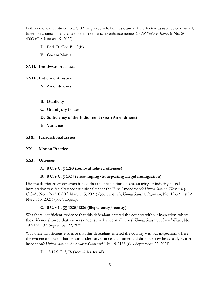Is this defendant entitled to a COA or § 2255 relief on his claims of ineffective assistance of counsel, based on counsel's failure to object to sentencing enhancements? *United States v. Babcock*, No. 20- 4003 (OA January 19, 2022).

- <span id="page-18-0"></span>**D. Fed. R. Civ. P. 60(b)**
- **E. Coram Nobis**

<span id="page-18-2"></span><span id="page-18-1"></span>**XVII. Immigration Issues**

#### <span id="page-18-4"></span><span id="page-18-3"></span>**XVIII.Indictment Issues**

- **A. Amendments**
- <span id="page-18-5"></span>**B. Duplicity**
- <span id="page-18-6"></span>**C. Grand Jury Issues**
- <span id="page-18-7"></span>**D. Sufficiency of the Indictment (Sixth Amendment)**
- **E. Variance**

#### <span id="page-18-9"></span><span id="page-18-8"></span>**XIX. Jurisdictional Issues**

<span id="page-18-10"></span>**XX. Motion Practice**

#### <span id="page-18-12"></span><span id="page-18-11"></span>**XXI. Offenses**

#### **A. 8 U.S.C. § 1253 (removal-related offenses)**

#### **B. 8 U.S.C. § 1324 (encouraging/transporting illegal immigration)**

<span id="page-18-13"></span>Did the district court err when it held that the prohibition on encouraging or inducing illegal immigration was facially unconstitutional under the First Amendment? *United States v. Hernandez-Calvillo*, No. 19-3210 (OA March 15, 2021) (gov't appeal); *United States v. Papalotzi*, No. 19-3211 (OA March 15, 2021) (gov't appeal).

#### **C. 8 U.S.C. §§ 1325/1326 (illegal entry/reentry)**

<span id="page-18-14"></span>Was there insufficient evidence that this defendant entered the country without inspection, where the evidence showed that she was under surveillance at all times? *United States v. Alvarado-Diaz*, No. 19-2134 (OA September 22, 2021).

Was there insufficient evidence that this defendant entered the country without inspection, where the evidence showed that he was under surveillance at all times and did not show he actually evaded inspection? *United States v. Bracamonte-Gasparini*, No. 19-2133 (OA September 22, 2021).

#### <span id="page-18-15"></span>**D. 18 U.S.C. § 78 (securities fraud)**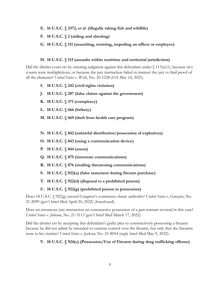- <span id="page-19-0"></span>**E. 16 U.S.C. § 3372, et al. (illegally taking fish and wildlife)**
- <span id="page-19-1"></span>**F. 18 U.S.C. § 2 (aiding and abetting)**
- <span id="page-19-2"></span>**G. 18 U.S.C. § 111 (assaulting, resisting, impeding an officer or employee)**

#### **H. 18 U.S.C. § 113 (assaults within maritime and territorial jurisdiction)**

<span id="page-19-3"></span>Did the district court err by entering judgment against this defendant under  $\{(113(a)(1), \text{ because two})\}$ counts were multiplicitous, or because the jury instruction failed to instruct the jury to find proof of all the elements? *United States v. Wells*, No. 20-1228 (OA May 14, 2021).

- <span id="page-19-4"></span>**I. 18 U.S.C. § 242 (civil-rights violation)**
- <span id="page-19-5"></span>**J. 18 U.S.C. § 287 (false claims against the government)**
- <span id="page-19-6"></span>**K. 18 U.S.C. § 371 (conspiracy)**

<span id="page-19-7"></span>**L. 18 U.S.C. § 666 (bribery)**

<span id="page-19-8"></span>**M. 18 U.S.C. § 669 (theft from health care program)**

<span id="page-19-9"></span>**N. 18 U.S.C. § 842 (unlawful distribution/possession of explosives)**

- <span id="page-19-10"></span>**O. 18 U.S.C. § 843 (using a communication device)**
- <span id="page-19-11"></span>**P. 18 U.S.C. § 844 (arson)**
- <span id="page-19-12"></span>**Q. 18 U.S.C. § 875 (interstate communications)**
- <span id="page-19-13"></span>**R. 18 U.S.C. § 876 (mailing threatening communications)**
- <span id="page-19-14"></span>**S. 18 U.S.C. § 922(a) (false statement during firearm purchase)**
- <span id="page-19-15"></span>**T. 18 U.S.C. § 922(d) (disposal to a prohibited person)**
- **U. 18 U.S.C. § 922(g) (prohibited person in possession)**

<span id="page-19-16"></span>Does 18 U.S.C. § 922(g) exceed Congress's commerce clause authority? *United States v. Gonzales*, No. 21-2099 (gov't brief filed April 20, 2022) (foreclosed).

Does an erroneous jury instruction on constructive possession of a gun warrant reversal in this case? *United States v. Johnson*, No. 21-3113 (gov't brief filed March 17, 2022).

Did the district err by accepting this defendant's guilty plea to constructively possessing a firearm because he did not admit he intended to exercise control over the firearm, but only that the firearms were in his vicinity? *United States v. Jackson*, No. 21-8054 (reply brief filed May 9, 2022).

#### <span id="page-19-17"></span>**V. 18 U.S.C. § 924(c) (Possession/Use of Firearm during drug trafficking offense)**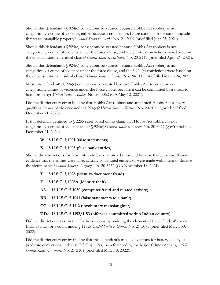Should this defendant's § 924(c) convictions be vacated because Hobbs Act robbery is not categorically a crime of violence, either because it criminalizes future conduct or because it includes threats to intangible property? *United States v. Garcia*, No. 21-2009 (brief filed June 25, 2021).

Should this defendant's § 924(c) convictions be vacated because Hobbs Act robbery is not categorically a crime of violence under the force clause, and the § 924(c) convictions were based on the unconstitutional residual clause? *United States v. Eccleston*, No. 20-2119 (brief filed April 26, 2021).

Should this defendant's § 924(c) convictions be vacated because Hobbs Act robbery is not categorically a crime of violence under the force clause, and the § 924(c) convictions were based on the unconstitutional residual clause? *United States v. Brooks*, No. 20-5115 (brief filed March 24, 2021).

Must this defendant's § 924(c) convictions be vacated because Hobbs Act robbery are not categorically crimes of violence under the force clause, because it can be committed by a threat to harm property? *United States v. Baker*, No. 20-3062 (OA May 12, 2021).

Did the district court err in holding that Hobbs Act robbery and attempted Hobbs Act robbery qualify as crimes of violence under § 924(c)? *United States v. Wilson*, No. 20-5077 (gov't brief filed December 21, 2020).

Is this defendant entitled to § 2255 relief based on his claim that Hobbs Act robbery is not categorically a crime of violence under § 924(c)? *United States v. Wilson*, No. 20-5077 (gov't brief filed December 21, 2020).

#### <span id="page-20-0"></span>**W. 18 U.S.C. § 1001 (false statements)**

#### **X. 18 U.S.C. § 1005 (false bank entries)**

<span id="page-20-1"></span>Should the convictions for false entries in bank records be vacated because there was insufficient evidence that the entries were false, actually constituted entries, or were made with intent to deceive the victim banks? *United States v. Gregory*, No. 20-3232 (OA November 18, 2021).

# <span id="page-20-2"></span>**Y. 18 U.S.C. § 1028 (identity-document fraud)**

- <span id="page-20-3"></span>**Z. 18 U.S.C. § 1028A (identity theft)**
- <span id="page-20-4"></span>**AA. 18 U.S.C. § 1030 (computer fraud and related activity)**
- <span id="page-20-5"></span>**BB. 18 U.S.C. § 1041 (false statements to a bank)**
- <span id="page-20-6"></span>**CC. 18 U.S.C. § 1112 (involuntary manslaughter)**

# **DD. 18 U.S.C. § 1152/1153 (offenses committed within Indian country)**

<span id="page-20-7"></span>Did the district court err in the jury instructions by omitting the element of the defendant's non-Indian status for a count under § 1152? *United States v. Ortner*, No. 21-5075 (brief filed March 30, 2022).

Did the district court err by finding that this defendant's tribal convictions for battery qualify as predicate convictions under 18 U.S.C. § 117(a), as referenced by the Major Crimes Act at § 1153? *United States v. Veneno*, No. 21-2101 (brief filed March 8, 2022).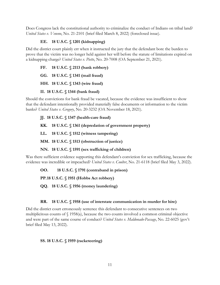Does Congress lack the constitutional authority to criminalize the conduct of Indians on tribal land? *United States v. Veneno*, No. 21-2101 (brief filed March 8, 2022) (foreclosed issue).

#### **EE. 18 U.S.C. § 1201 (kidnapping)**

<span id="page-21-0"></span>Did the district court plainly err when it instructed the jury that the defendant bore the burden to prove that the victim was no longer held against her will before the statute of limitations expired on a kidnapping charge? *United States v. Piette*, No. 20-7008 (OA September 21, 2021).

<span id="page-21-1"></span>**FF. 18 U.S.C. § 2113 (bank robbery)**

<span id="page-21-2"></span>**GG. 18 U.S.C. § 1341 (mail fraud)**

<span id="page-21-3"></span>**HH. 18 U.S.C. § 1343 (wire fraud)**

#### **II. 18 U.S.C. § 1344 (bank fraud)**

<span id="page-21-4"></span>Should the convictions for bank fraud be vacated, because the evidence was insufficient to show that the defendant intentionally provided materially false documents or information to the victim banks? *United States v. Gregory*, No. 20-3232 (OA November 18, 2021).

#### <span id="page-21-5"></span>**JJ. 18 U.S.C. § 1347 (health-care fraud)**

<span id="page-21-6"></span>**KK. 18 U.S.C. § 1361 (depredation of government property)**

<span id="page-21-7"></span>**LL. 18 U.S.C. § 1512 (witness tampering)**

<span id="page-21-8"></span>**MM. 18 U.S.C. § 1513 (obstruction of justice)**

**NN. 18 U.S.C. § 1591 (sex trafficking of children)**

<span id="page-21-9"></span>Was there sufficient evidence supporting this defendant's conviction for sex trafficking, because the evidence was incredible or impeached? *United States v. Coulter*, No. 21-6118 (brief filed May 3, 2022).

<span id="page-21-10"></span>**OO. 18 U.S.C. § 1791 (contraband in prison)**

<span id="page-21-11"></span>**PP.18 U.S.C. § 1951 (Hobbs Act robbery)**

<span id="page-21-12"></span>**QQ. 18 U.S.C. § 1956 (money laundering)**

#### **RR. 18 U.S.C. § 1958 (use of interstate communication in murder for hire)**

<span id="page-21-13"></span>Did the district court erroneously sentence this defendant to consecutive sentences on two multiplicitous counts of § 1958(a), because the two counts involved a common criminal objective and were part of the same course of conduct? *United States v. Maldonado-Passage*, No. 22-6025 (gov't brief filed May 13, 2022).

#### <span id="page-21-14"></span>**SS. 18 U.S.C. § 1959 (racketeering)**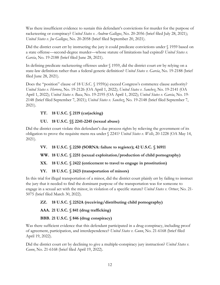Was there insufficient evidence to sustain this defendant's convictions for murder for the purpose of racketeering or conspiracy? *United States v. Andrew Gallegos*, No. 20-2056 (brief filed July 28, 2021); *United States v. Joe Gallegos*, No. 20-2058 (brief filed September 20, 2021).

Did the district court err by instructing the jury it could predicate convictions under § 1959 based on a state offense—second-degree murder—whose statute of limitations had expired? *United States v. Garcia*, No. 19-2188 (brief filed June 28, 2021).

In defining predicate racketeering offenses under § 1959, did the district court err by relying on a state-law definition rather than a federal generic definition? *United States v. Garcia*, No. 19-2188 (brief filed June 28, 2021).

Does the "position" clause of 18 U.S.C. § 1959(a) exceed Congress's commerce clause authority? *United States v. Herrera*, No. 19-2126 (OA April 1, 2022); *United States v. Sanchez*, No. 19-2141 (OA April 1, 2022); *United States v. Baca*, No. 19-2195 (OA April 1, 2022); *United States v. Garcia*, No. 19- 2148 (brief filed September 7, 2021); *United States v. Sanchez*, No. 19-2148 (brief filed September 7, 2021).

# <span id="page-22-0"></span>**TT. 18 U.S.C. § 2119 (carjacking)**

#### **UU. 18 U.S.C. §§ 2241-2245 (sexual abuse)**

<span id="page-22-1"></span>Did the district court violate this defendant's due process rights by relieving the government of its obligation to prove the requisite mens rea under § 2241? *United States v. Wells*, 20-1228 (OA May 14, 2021).

<span id="page-22-2"></span>**VV. 18 U.S.C. § 2250 (SORNA: failure to register); 42 U.S.C. § 16911**

# <span id="page-22-3"></span>**WW. 18 U.S.C. § 2251 (sexual exploitation/production of child pornography)**

# <span id="page-22-4"></span>**XX. 18 U.S.C. § 2422 (enticement to travel to engage in prostitution)**

# **YY. 18 U.S.C. § 2423 (transportation of minors)**

<span id="page-22-5"></span>In this trial for illegal transportation of a minor, did the district court plainly err by failing to instruct the jury that it needed to find the dominant purpose of the transportation was for someone to engage in a sexual act with the minor, in violation of a specific statute? *United States v. Ortner*, No. 21- 5075 (brief filed March 30, 2022).

# <span id="page-22-6"></span>**ZZ. 18 U.S.C. § 2252A (receiving/distributing child pornography)**

# <span id="page-22-7"></span>**AAA. 21 U.S.C. § 841 (drug trafficking)**

#### **BBB. 21 U.S.C. § 846 (drug conspiracy)**

<span id="page-22-8"></span>Was there sufficient evidence that this defendant participated in a drug conspiracy, including proof of agreement, participation, and interdependence? *United States v. Gunn*, No. 21-6168 (brief filed April 19, 2022).

Did the district court err by declining to give a multiple-conspiracy jury instruction? *United States v. Gunn*, No. 21-6168 (brief filed April 19, 2022).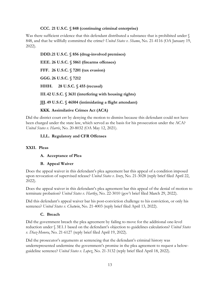#### **CCC. 21 U.S.C. § 848 (continuing criminal enterprise)**

<span id="page-23-0"></span>Was there sufficient evidence that this defendant distributed a substance that is prohibited under  $\mathcal S$ 848, and that he willfully committed the crime? *United States v. Shamo*, No. 21-4116 (OA January 19, 2022).

<span id="page-23-4"></span><span id="page-23-3"></span><span id="page-23-2"></span><span id="page-23-1"></span>**DDD.21 U.S.C. § 856 (drug-involved premises) EEE. 26 U.S.C. § 5861 (firearms offenses) FFF. 26 U.S.C. § 7201 (tax evasion) GGG. 26 U.S.C. § 7212 HHH. 28 U.S.C. § 455 (recusal) III.42 U.S.C. § 3631 (interfering with housing rights) JJJ. 49 U.S.C. § 46504 (intimidating a flight attendant)**

#### <span id="page-23-6"></span><span id="page-23-5"></span>**KKK. Assimilative Crimes Act (ACA)**

<span id="page-23-8"></span><span id="page-23-7"></span>Did the district court err by denying the motion to dismiss because this defendant could not have been charged under the state law, which served as the basis for his prosecution under the ACA? *United States v. Harris*, No. 20-8032 (OA May 12, 2021).

#### **LLL. Regulatory and CFR Offenses**

#### <span id="page-23-11"></span><span id="page-23-10"></span><span id="page-23-9"></span>**XXII. Pleas**

#### **A. Acceptance of Plea**

#### **B. Appeal Waiver**

<span id="page-23-12"></span>Does the appeal waiver in this defendant's plea agreement bar this appeal of a condition imposed upon revocation of supervised release? *United States v. Ivory*, No. 21-3028 (reply brief filed April 22, 2022).

Does the appeal waiver in this defendant's plea agreement bar this appeal of the denial of motion to terminate probation? *United States v. Hartley*, No. 22-3010 (gov't brief filed March 29, 2022).

Did this defendant's appeal waiver bar his post-conviction challenge to his conviction, or only his sentence? *United States v. Chatwin*, No. 21-4003 (reply brief filed April 13, 2022).

#### **C. Breach**

<span id="page-23-13"></span>Did the government breach the plea agreement by failing to move for the additional one-level reduction under § 3E1.1 based on the defendant's objection to guidelines calculations? *United States v. Diaz-Menera*, No. 21-6127 (reply brief filed April 19, 2022).

Did the prosecutor's arguments at sentencing that the defendant's criminal history was underrepresented undermine the government's promise in the plea agreement to request a belowguideline sentence? *United States v. Lopez*, No. 21-3132 (reply brief filed April 18, 2022).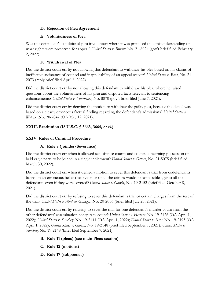#### <span id="page-24-0"></span>**D. Rejection of Plea Agreement**

#### **E. Voluntariness of Plea**

<span id="page-24-1"></span>Was this defendant's conditional plea involuntary where it was premised on a misunderstanding of what rights were preserved for appeal? *United States v. Brochu*, No. 21-8024 (gov't brief filed February 2, 2022).

## **F. Withdrawal of Plea**

<span id="page-24-2"></span>Did the district court err by not allowing this defendant to withdraw his plea based on his claims of ineffective assistance of counsel and inapplicability of an appeal waiver? *United States v. Reed*, No. 21- 2073 (reply brief filed April 8, 2022).

Did the district court err by not allowing this defendant to withdraw his plea, where he raised questions about the voluntariness of his plea and disputed facts relevant to sentencing enhancements? *United States v. Sunrhodes*, No. 8070 (gov't brief filed June 7, 2021).

Did the district court err by denying the motion to withdraw the guilty plea, because the denial was based on a clearly erroneous factual finding regarding the defendant's admissions? *United States v. Wilcox*, No. 20-7047 (OA May 12, 2021).

# <span id="page-24-3"></span>**XXIII.Restitution (18 U.S.C. § 3663, 3664,** et al**.)**

# <span id="page-24-5"></span><span id="page-24-4"></span>**XXIV. Rules of Criminal Procedure**

# **A. Rule 8 (Joinder/Severance)**

Did the district court err when it allowed sex offense counts and counts concerning possession of bald eagle parts to be joined in a single indictment? *United States v. Ortner*, No. 21-5075 (brief filed March 30, 2022).

Did the district court err when it denied a motion to sever this defendant's trial from codefendants, based on an erroneous belief that evidence of all the crimes would be admissible against all the defendants even if they were severed? *United States v. Garcia*, No. 19-2152 (brief filed October 8, 2021).

Did the district court err by refusing to sever this defendant's trial or certain charges from the rest of the trial? *United States v. Andrew Gallegos*, No. 20-2056 (brief filed July 28, 2021).

Did the district court err by refusing to sever the trial for one defendant's murder count from the other defendants' assassination conspiracy count? *United States v. Herrera*, No. 19-2126 (OA April 1, 2022); *United States v. Sanchez*, No. 19-2141 (OA April 1, 2022); *United States v. Baca*, No. 19-2195 (OA April 1, 2022); *United States v. Garcia*, No. 19-2148 (brief filed September 7, 2021); *United States v. Sanchez*, No. 19-2148 (brief filed September 7, 2021).

#### <span id="page-24-6"></span>**B. Rule 11 (pleas) (see main Pleas section)**

- <span id="page-24-7"></span>**C. Rule 12 (motions)**
- <span id="page-24-8"></span>**D. Rule 17 (subpoenas)**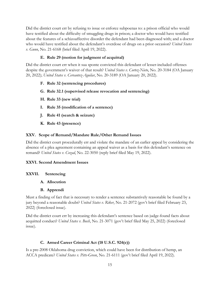Did the district court err by refusing to issue or enforce subpoenas to: a prison official who would have testified about the difficulty of smuggling drugs in prison; a doctor who would have testified about the features of a schizoaffective disorder the defendant had been diagnosed with; and a doctor who would have testified about the defendant's overdose of drugs on a prior occasion? *United States v. Gunn*, No. 21-6168 (brief filed April 19, 2022).

#### **E. Rule 29 (motion for judgment of acquittal)**

<span id="page-25-0"></span>Did the district court err when it sua sponte convicted this defendant of lesser-included offenses despite the government's waiver of that result? *United States v. Cortez-Nieto*, No. 20-3184 (OA January 20, 2022); *United States v. Cervantez-Aguilar*, No. 20-3189 (OA January 20, 2022).

- <span id="page-25-1"></span>**F. Rule 32 (sentencing procedures)**
- <span id="page-25-2"></span>**G. Rule 32.1 (supervised release revocation and sentencing)**
- <span id="page-25-3"></span>**H. Rule 33 (new trial)**
- <span id="page-25-4"></span>**I. Rule 35 (modification of a sentence)**
- <span id="page-25-5"></span>**J. Rule 41 (search & seizure)**
- **K. Rule 43 (presence)**

#### <span id="page-25-7"></span><span id="page-25-6"></span>**XXV. Scope of Remand/Mandate Rule/Other Remand Issues**

Did the district court procedurally err and violate the mandate of an earlier appeal by considering the absence of a plea agreement containing an appeal waiver as a basis for this defendant's sentence on remand? *United States v. Cozad*, No. 22-3050 (reply brief filed May 19, 2022).

#### <span id="page-25-8"></span>**XXVI. Second Amendment Issues**

#### <span id="page-25-10"></span><span id="page-25-9"></span>**XXVII. Sentencing**

- **A. Allocution**
- **B. Apprendi**

<span id="page-25-11"></span>Must a finding of fact that is necessary to render a sentence substantively reasonable be found by a jury beyond a reasonable doubt? *United States v. Riker*, No. 21-2072 (gov't brief filed February 23, 2022) (foreclosed issue).

Did the district court err by increasing this defendant's sentence based on judge-found facts about acquitted conduct? *United States v. Bush*, No. 21-3071 (gov't brief filed May 25, 2022) (foreclosed issue).

#### **C. Armed Career Criminal Act (18 U.S.C. 924(e))**

<span id="page-25-12"></span>Is a pre-2008 Oklahoma drug conviction, which could have been for distribution of hemp, an ACCA predicate? *United States v. Pitts-Green*, No. 21-6111 (gov't brief filed April 19, 2022).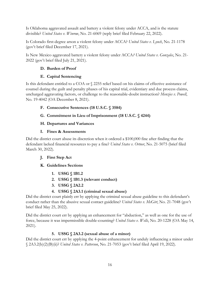Is Oklahoma aggravated assault and battery a violent felony under ACCA, and is the statute divisible? *United States v. Winrow*, No. 21-6069 (reply brief filed February 22, 2022).

Is Colorado first-degree arson a violent felony under ACCA? *United States v. Lynch*, No. 21-1178 (gov't brief filed December 17, 2021).

<span id="page-26-0"></span>Is New Mexico aggravated battery a violent felony under ACCA*? United States v. Gonzales*, No. 21- 2022 (gov't brief filed July 21, 2021).

## **D. Burden of Proof**

#### **E. Capital Sentencing**

<span id="page-26-1"></span>Is this defendant entitled to a COA or § 2255 relief based on his claims of effective assistance of counsel during the guilt and penalty phases of his capital trial, evidentiary and due process claims, uncharged aggravating factors, or challenge to the reasonable-doubt instruction? *Menzies v. Powell*, No. 19-4042 (OA December 8, 2021).

# <span id="page-26-2"></span>**F. Consecutive Sentences (18 U.S.C. § 3584)**

# <span id="page-26-3"></span>**G. Commitment in Lieu of Imprisonment (18 U.S.C. § 4244)**

# <span id="page-26-4"></span>**H. Departures and Variances**

#### **I. Fines & Assessments**

<span id="page-26-5"></span>Did the district court abuse its discretion when it ordered a \$100,000 fine after finding that the defendant lacked financial resources to pay a fine? *United States v. Ortner*, No. 21-5075 (brief filed March 30, 2022).

# <span id="page-26-6"></span>**J. First Step Act**

# <span id="page-26-8"></span><span id="page-26-7"></span>**K. Guidelines Sections**

- **1. USSG § 1B1.2**
- **2. USSG § 1B1.3 (relevant conduct)**
- **3. USSG § 2A2.2**

# **4. USSG § 2A3.1 (criminal sexual abuse)**

<span id="page-26-11"></span><span id="page-26-10"></span><span id="page-26-9"></span>Did the district court plainly err by applying the criminal sexual abuse guideline to this defendant's conduct rather than the abusive sexual contact guideline? *United States v. McGirt*, No. 21-7048 (gov't brief filed May 25, 2022).

Did the district court err by applying an enhancement for "abduction," as well as one for the use of force, because it was impermissible double-counting? *United States v. Wells*, No. 20-1228 (OA May 14, 2021).

# **5. USSG § 2A3.2 (sexual abuse of a minor)**

<span id="page-26-12"></span>Did the district court err by applying the 4-point enhancement for unduly influencing a minor under § 2A3.2(b)(2)(B)(ii)? *United States v. Patterson*, No. 21-7053 (gov't brief filed April 19, 2022).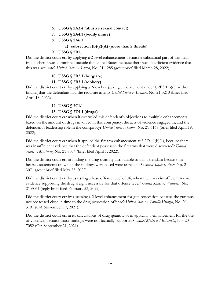- <span id="page-27-0"></span>**6. USSG § 2A3.4 (abusive sexual contact)**
- **7. USSG § 2A4.1 (bodily injury)**
- **8. USSG § 2A6.1**

#### **a) subsection (b)(2)(A) (more than 2 threats)**

#### **9. USSG § 2B1.1**

<span id="page-27-4"></span><span id="page-27-3"></span><span id="page-27-2"></span><span id="page-27-1"></span>Did the district court err by applying a 2-level enhancement because a substantial part of this mail fraud scheme was committed outside the United States because there was insufficient evidence that this was accurate? *United States v. Luton*, No. 21-1285 (gov't brief filed March 28, 2022).

#### **10. USSG § 2B2.1 (burglary)**

#### **11. USSG § 2B3.1 (robbery)**

<span id="page-27-6"></span><span id="page-27-5"></span>Did the district court err by applying a 2-level carjacking enhancement under  $\S$  2B3.1(b)(5) without finding that the defendant had the requisite intent? *United States v. Linares*, No. 21-3210 (brief filed April 18, 2022).

#### **12. USSG § 2C1.1**

#### **13. USSG § 2D1.1 (drugs)**

<span id="page-27-8"></span><span id="page-27-7"></span>Did the district court err when it overruled this defendant's objections to multiple enhancements based on the amount of drugs involved in this conspiracy, the acts of violence engaged in, and the defendant's leadership role in the conspiracy? *United States v. Gunn*, No. 21-6168 (brief filed April 19, 2022).

Did the district court err when it applied the firearm enhancement at  $\S$  2D1.1(b)(1), because there was insufficient evidence that the defendant possessed the firearms that were discovered? *United States v. Martinez*, No. 21-7054 (brief filed April 1, 2022).

Did the district court err in finding the drug quantity attributable to this defendant because the hearsay statements on which the findings were based were unreliable? *United States v. Bush*, No. 21- 3071 (gov't brief filed May 25, 2022).

Did the district court err by assessing a base offense level of 36, when there was insufficient record evidence supporting the drug weight necessary for that offense level? *United States v. Williams*, No. 21-6061 (reply brief filed February 23, 2022).

Did the district court err by assessing a 2-level enhancement for gun possession because the gun was not possessed close in time to the drug possession offense? *United States v. Portillo-Uranga*, No. 20- 3191 (OA November 17, 2021).

Did the district court err in its calculations of drug quantity or in applying a enhancement for the use of violence, because those findings were not factually supported? *United States v. McDonald*, No. 20- 7052 (OA September 21, 2021).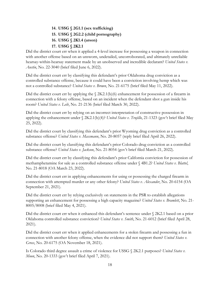**14. USSG § 2G1.1 (sex trafficking) 15. USSG § 2G2.2 (child pornography) 16. USSG § 2K1.4 (arson) 17. USSG § 2K2.1**

<span id="page-28-3"></span><span id="page-28-2"></span><span id="page-28-1"></span><span id="page-28-0"></span>Did the district court err when it applied a 4-level increase for possessing a weapon in connection with another offense based on an unsworn, undetailed, uncorroborated, and ultimately unreliable hearsay-within-hearsay statement made by an unobserved and incredible declarant? *United States v. Austin*, No. 22-3040 (brief filed June 6, 2022).

Did the district court err by classifying this defendant's prior Oklahoma drug conviction as a controlled substance offense, because it could have been a conviction involving hemp which was not a controlled substance? *United States v. Brown*, No. 21-6175 (brief filed May 11, 2022).

Did the district court err by applying the  $\frac{\chi_{2K2.1(b)(6)}}{2K2.1(b)(6)}$  enhancement for possession of a firearm in connection with a felony offense, based on an incident when the defendant shot a gun inside his room? *United States v. Leib*, No. 21-2136 (brief filed March 30, 2022).

Did the district court err by relying on an incorrect interpretation of constructive possession in applying the enhancement under § 2K2.1(b)(4)? *United States v. Trujillo*, 21-1323 (gov't brief filed May 25, 2022).

Did the district court by classifying this defendant's prior Wyoming drug conviction as a controlled substance offense? *United States v. Massmann*, No. 20-8057 (reply brief filed April 26, 2022).

Did the district court by classifying this defendant's prior Colorado drug conviction as a controlled substance offense? *United States v. Jackson*, No. 21-8054 (gov't brief filed March 21, 2022).

Did the district court err by classifying this defendant's prior California conviction for possession of methamphetamine for sale as a controlled substance offense under § 4B1.2? *United States v. Blattel*, No. 21-8018 (OA March 23, 2022).

Did the district court err in applying enhancements for using or possessing the charged firearm in connection with attempted murder or any other felony? *United States v. Alexander*, No. 20-6154 (OA September 21, 2021).

Did the district court err by relying exclusively on statements in the PSR to establish allegations supporting an enhancement for possessing a high capacity magazine? *United States v. Bramlett*, No. 21- 8005/8008 (brief filed May 4, 2021).

Did the district court err when it enhanced this defendant's sentence under § 2K2.1 based on a prior Oklahoma controlled substance conviction? *United States v. Smith*, No. 21-6012 (brief filed April 28, 2021).

Did the district court err when it applied enhancements for a stolen firearm and possessing a fun in connection with another felony offense, when the evidence did not support them? *United States v. Gross*, No. 20-6175 (OA November 18, 2021).

Is Colorado third degree assault a crime of violence for USSG § 2K2.1 purposes? *United States v. Moon*, No. 20-1333 (gov't brief filed April 7, 2021).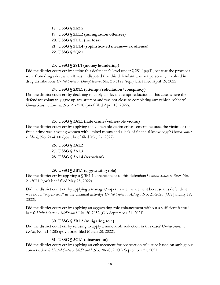<span id="page-29-2"></span><span id="page-29-1"></span><span id="page-29-0"></span>**18. USSG § 2K2.2 19. USSG § 2L1.2 (immigration offenses) 20. USSG § 2T1.1 (tax loss) 21. USSG § 2T1.4 (sophisticated means—tax offense) 22. USSG § 2Q2.1**

#### **23. USSG § 2S1.1 (money laundering)**

<span id="page-29-5"></span><span id="page-29-4"></span><span id="page-29-3"></span>Did the district court err by setting this defendant's level under  $\S$  2S1.1(a)(1), because the proceeds were from drug sales, when it was undisputed that this defendant was not personally involved in drug distribution? *United States v. Diaz-Menera*, No. 21-6127 (reply brief filed April 19, 2022).

#### **24. USSG § 2X1.1 (attempt/solicitation/conspiracy)**

<span id="page-29-6"></span>Did the district court err by declining to apply a 3-level attempt reduction in this case, where the defendant voluntarily gave up any attempt and was not close to completing any vehicle robbery? *United States v. Linares*, No. 21-3210 (brief filed April 18, 2022).

#### **25. USSG § 3A1.1 (hate crime/vulnerable victim)**

<span id="page-29-9"></span><span id="page-29-8"></span><span id="page-29-7"></span>Did the district court err by applying the vulnerable victim enhancement, because the victim of the fraud crime was a young women with limited means and a lack of financial knowledge? *United States v. Mack*, No. 21-4100 (gov't brief filed May 27, 2022).

> **26. USSG § 3A1.2 27. USSG § 3A1.3 28. USSG § 3A1.4 (terrorism)**

#### **29. USSG § 3B1.1 (aggravating role)**

<span id="page-29-11"></span><span id="page-29-10"></span>Did the district err by applying a § 3B1.1 enhancement to this defendant? *United States v. Bush*, No. 21-3071 (gov't brief filed May 25, 2022).

Did the district court err by applying a manager/supervisor enhancement because this defendant was not a "supervisor" in the criminal activity? *United States v. Astorga*, No. 21-2026 (OA January 19, 2022).

Did the district court err by applying an aggravating-role enhancement without a sufficient factual basis? *United States v. McDonald*, No. 20-7052 (OA September 21, 2021).

#### **30. USSG § 3B1.2 (mitigating role)**

<span id="page-29-12"></span>Did the district court err by refusing to apply a minor-role reduction in this case? *United States v. Luton*, No. 21-1285 (gov't brief filed March 28, 2022).

#### **31. USSG § 3C1.1 (obstruction)**

<span id="page-29-13"></span>Did the district court err by applying an enhancement for obstruction of justice based on ambiguous conversations? *United States v. McDonald*, No. 20-7052 (OA September 21, 2021).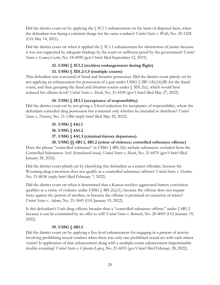Did the district court err by applying the  $\S$  3C1.1 enhancement on the basis of disputed facts, when the defendant was facing a criminal charge for the same conduct? *United States v. Wells*, No. 20-1228 (OA May 14, 2021).

Did the district court err when it applied the § 3C1.1 enhancement for obstruction of justice because it was not supported by adequate findings by the court or sufficient proof by the government? *United States v. Gomez-Castro*, No. 18-4090 (gov't brief filed September 12, 2019).

# **32. USSG § 3C1.2 (reckless endangerment during flight)**

# **33. USSG § 3D1.2-1.5 (multiple counts)**

<span id="page-30-1"></span><span id="page-30-0"></span>This defendant was convicted of fraud and firearms possession. Did the district court plainly err by not applying an enhancement for possession of a gun under USSG § 2B1.1(b)(16)(B) for the fraud count, and then grouping the fraud and firearms counts under  $\S$  3D1.2(c), which would have reduced his offense level? *United States v. Mack*, No. 21-4100 (gov't brief filed May 27, 2022).

# **34. USSG § 3E1.1 (acceptance of responsibility)**

<span id="page-30-2"></span>Did the district court err by not giving a 2-level reduction for acceptance of responsibility, where the defendant conceded drug possession but contested only whether he intended to distribute? *United States v. Nevarez*, No. 21-1286 (reply brief filed May 20, 2022).

# **35. USSG § 4A1.1**

- **36. USSG § 4A1.2**
- **37. USSG § 4A1.3 (criminal-history departures)**

<span id="page-30-6"></span><span id="page-30-5"></span><span id="page-30-4"></span><span id="page-30-3"></span>**38. USSG §§ 4B1.1, 4B1.2 (crime of violence; controlled substance offense)** Does the phrase "controlled substance" in USSG § 4B1.2(b) include substances excluded from the Controlled Substances Act? (foreclosed issue) *United States v. Mask*, No. 21-6076 (gov't brief filed January 28, 2022).

Did the district court plainly err by classifying this defendant as a career offender, because his Wyoming drug conviction does not qualify as a controlled substance offense? *United States v. Harbin*, No. 21-8038 (reply brief filed February 7, 2022).

Did the district court err when it determined that a Kansas reckless aggravated battery conviction qualifies as a crime of violence under USSG  $\S$  4B1.2(a)(1), because the offense does not require force against the person of another, or because the offense is premised on causation of injury? *United States v. Adams*, No. 21-3043 (OA January 19, 2022).

Is this defendant's Utah drug offense broader than a "controlled substance offense" under § 4B1.2 because it can be committed by an offer to sell? *United States v. Babcock*, No. 20-4003 (OA January 19, 2022).

#### **39. USSG § 4B1.5**

<span id="page-30-7"></span>Did the district court err by applying a five-level enhancement for engaging in a pattern of activity involving prohibiting sexual conduct when there was only one prohibited sexual act with each minor victim? Is application of that enhancement along with a multiple-count enhancement impermissible double-counting? *United States v. Cifuentes-Lopez*, No. 21-6053 (gov't brief filed February 28, 2022).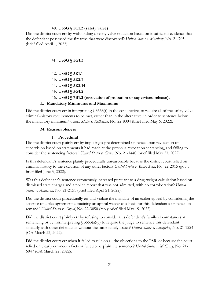#### **40. USSG § 5C1.2 (safety valve)**

<span id="page-31-0"></span>Did the district court err by withholding a safety valve reduction based on insufficient evidence that the defendant possessed the firearms that were discovered? *United States v. Martinez*, No. 21-7054 (brief filed April 1, 2022).

#### <span id="page-31-1"></span>**41. USSG § 5G1.3**

<span id="page-31-3"></span><span id="page-31-2"></span>**42. USSG § 5K1.1 43. USSG § 5K2.7 44. USSG § 5K2.14 45. USSG § 5G1.2 46. USSG § 7B1.3 (revocation of probation or supervised release).**

#### <span id="page-31-5"></span><span id="page-31-4"></span>**L. Mandatory Minimums and Maximums**

<span id="page-31-7"></span><span id="page-31-6"></span>Did the district court err in interpreting  $\S$  3553(f) in the conjunctive, to require all of the safety-valve criminal-history requirements to be met, rather than in the alternative, in order to sentence below the mandatory minimum? *United States v. Kolkman*, No. 22-8004 (brief filed May 6, 2022).

#### **M. Reasonableness**

#### **1. Procedural**

<span id="page-31-9"></span><span id="page-31-8"></span>Did the district court plainly err by imposing a pre-determined sentence upon revocation of supervision based on statements it had made at the previous revocation sentencing, and failing to consider the sentencing factors? *United States v. Crews*, No. 21-1440 (brief filed May 27, 2022).

Is this defendant's sentence plainly procedurally unreasonable because the district court relied on criminal history to the exclusion of any other factor? *United States v. Bravo-Sosa*, No. 22-2015 (gov't brief filed June 3, 2022).

Was this defendant's sentence erroneously increased pursuant to a drug-weight calculation based on dismissed state charges and a police report that was not admitted, with no corroboration? *United States v. Anderson*, No. 21-2151 (brief filed April 21, 2022).

Did the district court procedurally err and violate the mandate of an earlier appeal by considering the absence of a plea agreement containing an appeal waiver as a basis for this defendant's sentence on remand? *United States v. Cozad*, No. 22-3050 (reply brief filed May 19, 2022).

Did the district court plainly err by refusing to consider this defendant's family circumstances at sentencing or by misinterpreting  $\S$  3553(a)(6) to require the judge to sentence this defendant similarly with other defendants without the same family issues? *United States v. Littlejohn*, No. 21-1224 (OA March 22, 2022).

Did the district court err when it failed to rule on all the objections to the PSR, or because the court relied on clearly erroneous facts or failed to explain the sentence? *United States v. McCrary*, No. 21- 6047 (OA March 22, 2022).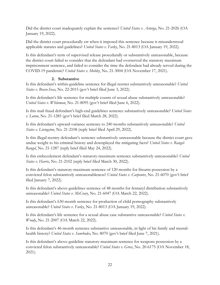Did the district court inadequately explain the sentence? *United States v. Astorga*, No. 21-2026 (OA January 19, 2022).

Did the district court procedurally err when it imposed this sentence because it misunderstood applicable statutes and guidelines? *United States v. Farley*, No. 21-8013 (OA January 19, 2022).

Is this defendant's term of supervised release procedurally or substantively unreasonable, because the district court failed to consider that the defendant had overserved the statutory maximum imprisonment sentence, and failed to consider the time the defendant had already served during the COVID-19 pandemic? *United States v. Mobley*, No. 21-3004 (OA November 17, 2021).

#### **2. Substantive**

<span id="page-32-0"></span>Is this defendant's within-guideline sentence for illegal reenter substantively unreasonable? *United States v. Bravo-Sosa*, No. 22-2015 (gov't brief filed June 3, 2022).

Is this defendant's life sentence for multiple counts of sexual abuse substantively unreasonable? *United States v. Whiteman*, No. 21-8095 (gov't brief filed June 6, 2022).

Is this mail fraud defendant's high-end guidelines sentence substantively unreasonable? *United States v. Luton*, No. 21-1285 (gov't brief filed March 28, 2022).

Is this defendant's upward-variance sentence to 240 months substantively unreasonable? *United States v. Livingston*, No. 21-2108 (reply brief filed April 29, 2022).

Is this illegal-reentry defendant's sentence substantively unreasonable because the district court gave undue weight to his criminal history and downplayed the mitigating facts? *United States v. Rangel-Rangel*, No. 21-1287 (reply brief filed May 24, 2022).

Is this embezzlement defendant's statutory-maximum sentence substantively unreasonable? *United States v. Harris*, No. 21-2102 (reply brief filed March 30, 2022).

Is this defendant's statutory-maximum sentence of 120 months for firearm possession by a convicted felon substantively unreasonableness? *United States v. Carpenter*, No. 21-6070 (gov't brief filed January 7, 2022).

Is this defendant's above-guidelines sentence of 48 months for fentanyl distribution substantively unreasonable? *United States v. McCrary*, No. 21-6047 (OA March 22, 2022).

Is this defendant's 630-month sentence for production of child pornography substantively unreasonable? *United States v. Farley*, No. 21-8013 (OA January 19, 2022).

Is this defendant's life sentence for a sexual abuse case substantive unreasonable? *United States v. Woody*, No. 21-2007 (OA March 22, 2022).

Is this defendant's 46-month sentence substantive unreasonable, in light of his family and mentalhealth history? *United States v. Sunrhodes*, No. 8070 (gov't brief filed June 7, 2021).

Is this defendant's above-guideline statutory-maximum sentence for weapons possession by a convicted felon substantively unreasonable? *United States v. Gross*, No. 20-6175 (OA November 18, 2021).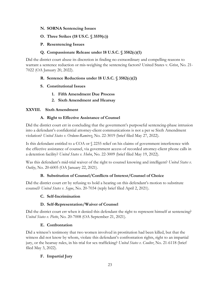- <span id="page-33-0"></span>**N. SORNA Sentencing Issues**
- <span id="page-33-1"></span>**O. Three Strikes (18 US.C. § 3559(c))**
- <span id="page-33-2"></span>**P. Resentencing Issues**

#### **Q. Compassionate Release under 18 U.S.C. § 3582(c)(1)**

<span id="page-33-3"></span>Did the district court abuse its discretion in finding no extraordinary and compelling reasons to warrant a sentence reduction or mis-weighing the sentencing factors? United States v. Grist, No. 21- 7022 (OA January 20, 2022).

#### <span id="page-33-4"></span>**R. Sentence Reductions under 18 U.S.C. § 3582(c)(2)**

- <span id="page-33-5"></span>**S. Constitutional Issues**
	- **1. Fifth Amendment Due Process**
	- **2. Sixth Amendment and Hearsay**

#### <span id="page-33-9"></span><span id="page-33-8"></span><span id="page-33-7"></span><span id="page-33-6"></span>**XXVIII. Sixth Amendment**

#### **A. Right to Effective Assistance of Counsel**

Did the district court err in concluding that the government's purposeful sentencing-phase intrusion into a defendant's confidential attorney-client communications is not a per se Sixth Amendment violation? *United States v. Orduno-Ramirez*, No. 22-3019 (brief filed May 27, 2022).

Is this defendant entitled to a COA or § 2255 relief on his claims of government interference with the effective assistance of counsel, via government access of recorded attorney-client phone calls in a detention facility? *United States v. Hohn*, No. 22-3009 (brief filed May 19, 2022).

Was this defendant's mid-trial waiver of the right to counsel knowing and intelligent? *United States v. Outley*, No. 20-6005 (OA January 22, 2021).

#### **B. Substitution of Counsel/Conflicts of Interest/Counsel of Choice**

<span id="page-33-11"></span><span id="page-33-10"></span>Did the district court err by refusing to hold a hearing on this defendant's motion to substitute counsel? *United States v. Segue*, No. 20-7034 (reply brief filed April 2, 2021).

#### **C. Self-Incrimination**

#### **D. Self-Representation/Waiver of Counsel**

<span id="page-33-12"></span>Did the district court err when it denied this defendant the right to represent himself at sentencing? *United States v. Piette*, No. 20-7008 (OA September 21, 2021).

#### **E. Confrontation**

<span id="page-33-13"></span>Did a witness's testimony that two women involved in prostitution had been killed, but that the witness did not know by whom, violate this defendant's confrontation rights, right to an impartial jury, or the hearsay rules, in his trial for sex trafficking? *United States v. Coulter*, No. 21-6118 (brief filed May 3, 2022).

#### <span id="page-33-14"></span>**F. Impartial Jury**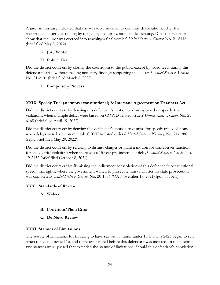A juror in this case indicated that she was too emotional to continue deliberations. After the weekend and after questioning by the judge, the juror continued deliberating. Does the evidence show that the juror was coerced into reaching a final verdict? *United States v. Coulter*, No. 21-6118 (brief filed May 3, 2022).

# <span id="page-34-0"></span>**G. Jury Verdict**

# **H. Public Trial**

<span id="page-34-1"></span>Did the district court err by closing the courtroom to the public, except by video feed, during this defendant's trial, without making necessary findings supporting the closure? *United States v. Veneno*, No. 21-2101 (brief filed March 8, 2022).

# <span id="page-34-2"></span>**I. Compulsory Process**

# <span id="page-34-3"></span>**XXIX. Speedy Trial (statutory/constitutional) & Interstate Agreement on Detainers Act**

Did the district court err by denying this defendant's motion to dismiss based on speedy trial violations, when multiple delays were based on COVID-related issues? *United States v. Gunn*, No. 21- 6168 (brief filed April 19, 2022).

Did the district court err by denying this defendant's motion to dismiss for speedy trial violations, when delays were based on multiple COVID-related orders? *United States v. Nevarez*, No. 21-1286 (reply brief filed May 20, 2022).

Did the district court err by refusing to dismiss charges or grant a motion for some lesser sanction for speedy trial violations when there was a 15-year pre-indictment delay? *United States v. Garcia*, No. 19-2152 (brief filed October 8, 2021).

Did the district court err by dismissing the indictment for violation of this defendant's constitutional speedy trial rights, where the government waited to prosecute him until after his state prosecution was completed? *United States v. Garcia*, No. 20-1386 (OA November 18, 2021) (gov't appeal).

#### <span id="page-34-5"></span><span id="page-34-4"></span>**XXX. Standards of Review**

**A. Waiver**

- <span id="page-34-6"></span>**B. Forfeiture/Plain Error**
- **C. De Novo Review**

#### <span id="page-34-8"></span><span id="page-34-7"></span>**XXXI. Statutes of Limitations**

The statute of limitations for traveling to have sex with a minor under 18 U.S.C. § 2423 began to run when the victim turned 16, and therefore expired before this defendant was indicted. In the interim, two statutes were passed that extended the statute of limitations. Should this defendant's conviction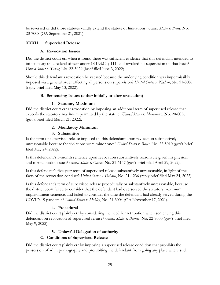be reversed or did those statutes validly extend the statute of limitations? *United States v. Piette*, No. 20-7008 (OA September 21, 2021).

# <span id="page-35-1"></span><span id="page-35-0"></span>**XXXII. Supervised Release**

## **A. Revocation Issues**

Did the district court err when it found there was sufficient evidence that this defendant intended to inflict injury on a federal officer under 18 U.S.C. § 111, and revoked his supervision on that basis? *United States v. Young*, No. 22-3029 (brief filed June 3, 2022).

Should this defendant's revocation be vacated because the underlying condition was impermissibly imposed via a general order affecting all persons on supervision? *United States v. Nielsen*, No. 21-8087 (reply brief filed May 13, 2022).

# **B. Sentencing Issues (either initially or after revocation)**

# **1. Statutory Maximum**

<span id="page-35-3"></span><span id="page-35-2"></span>Did the district court err at revocation by imposing an additional term of supervised release that exceeds the statutory maximum permitted by the statute? *United States v. Massmann*, No. 20-8056 (gov't brief filed March 21, 2022).

# **2. Mandatory Minimum**

# **3. Substantive**

<span id="page-35-5"></span><span id="page-35-4"></span>Is the term of supervised release imposed on this defendant upon revocation substantively unreasonable because the violations were minor ones? *United States v. Royer*, No. 22-5010 (gov't brief filed May 24, 2022).

Is this defendant's 5-month sentence upon revocation substantively reasonable given his physical and mental health issues? *United States v. Oakes*, No. 21-6147 (gov't brief filed April 29, 2022).

Is this defendant's five-year term of supervised release substantively unreasonable, in light of the facts of the revocation conduct? *United States v. Dobosu*, No. 21-1236 (reply brief filed May 24, 2022).

Is this defendant's term of supervised release procedurally or substantively unreasonable, because the district court failed to consider that the defendant had overserved the statutory maximum imprisonment sentence, and failed to consider the time the defendant had already served during the COVID-19 pandemic? *United States v. Mobley*, No. 21-3004 (OA November 17, 2021).

# **4. Procedural**

<span id="page-35-6"></span>Did the district court plainly err by considering the need for retribution when sentencing this defendant on revocation of supervised release? *United States v. Booker*, No. 22-7000 (gov't brief filed May 9, 2022).

# **5. Unlawful Delegation of authority**

# **C. Conditions of Supervised Release**

<span id="page-35-8"></span><span id="page-35-7"></span>Did the district court plainly err by imposing a supervised release condition that prohibits the possession of adult pornography and prohibiting the defendant from going any place where such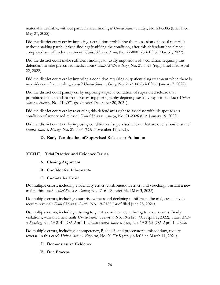material is available, without particularized findings? *United States v. Bailey*, No. 21-5085 (brief filed May 27, 2022).

Did the district court err by imposing a condition prohibiting the possession of sexual materials without making particularized findings justifying the condition, after this defendant had already completed sex offender treatment? *United States v. Soule*, No. 22-8001 (brief filed May 31, 2022).

Did the district court make sufficient findings to justify imposition of a condition requiring this defendant to take prescribed medications? *United States v. Ivory*, No. 21-3028 (reply brief filed April 22, 2022).

Did the district court err by imposing a condition requiring outpatient drug treatment when there is no evidence of recent drug abuse? *United States v. Ortiz*, No. 21-2106 (brief filed January 3, 2022).

Did the district court plainly err by imposing a special condition of supervised release that prohibited this defendant from possessing pornography depicting sexually explicit conduct? *United States v. Holuby*, No. 21-6071 (gov't brief December 20, 2021).

Did the district court err by restricting this defendant's right to associate with his spouse as a condition of supervised release? *United States v. Astorga*, No. 21-2026 (OA January 19, 2022).

<span id="page-36-0"></span>Did the district court err by imposing conditions of supervised release that are overly burdensome? *United States v. Mobley*, No. 21-3004 (OA November 17, 2021).

# **D. Early Termination of Supervised Release or Probation**

#### <span id="page-36-2"></span><span id="page-36-1"></span>**XXXIII. Trial Practice and Evidence Issues**

- **A. Closing Argument**
- <span id="page-36-3"></span>**B. Confidential Informants**
- **C. Cumulative Error**

<span id="page-36-4"></span>Do multiple errors, including evidentiary errors, confrontation errors, and vouching, warrant a new trial in this case? *United States v. Coulter*, No. 21-6118 (brief filed May 3, 2022).

Do multiple errors, including a surprise witness and declining to bifurcate the trial, cumulatively require reversal? *United States v. Garcia*, No. 19-2188 (brief filed June 28, 2021).

Do multiple errors, including refusing to grant a continuance, refusing to sever counts, Brady violations, warrant a new trial? *United States v. Herrera*, No. 19-2126 (OA April 1, 2022); *United States v. Sanchez*, No. 19-2141 (OA April 1, 2022); *United States v. Baca*, No. 19-2195 (OA April 1, 2022).

<span id="page-36-5"></span>Do multiple errors, including incompetency, Rule 403, and prosecutorial misconduct, require reversal in this case? *United States v. Ferguson*, No. 20-7045 (reply brief filed March 11, 2021).

#### **D. Demonstrative Evidence**

#### <span id="page-36-6"></span>**E. Due Process**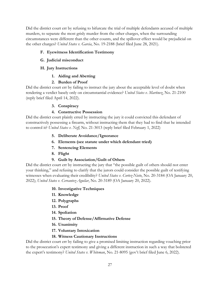Did the district court err by refusing to bifurcate the trial of multiple defendants accused of multiple murders, to separate the most grisly murder from the other charges, when the surrounding circumstances were different than the other counts, and the spillover effect would be prejudicial on the other charges? *United States v. Garcia*, No. 19-2188 (brief filed June 28, 2021).

#### <span id="page-37-0"></span>**F. Eyewitness Identification Testimony**

<span id="page-37-1"></span>**G. Judicial misconduct**

#### <span id="page-37-2"></span>**H. Jury Instructions**

**1. Aiding and Abetting**

#### **2. Burden of Proof**

<span id="page-37-4"></span><span id="page-37-3"></span>Did the district court err by failing to instruct the jury about the acceptable level of doubt when rendering a verdict basely only on circumstantial evidence? *United States v. Martinez*, No. 21-2100 (reply brief filed April 14, 2022).

#### **3. Conspiracy**

#### **4. Constructive Possession**

<span id="page-37-8"></span><span id="page-37-7"></span><span id="page-37-6"></span><span id="page-37-5"></span>Did the district court plainly erred by instructing the jury it could convicted this defendant of constructively possessing a firearm, without instructing them that they had to find that he intended to control it? *United States v. Neff*, No. 21-3013 (reply brief filed February 1, 2022)

- **5. Deliberate Avoidance/Ignorance**
- **6. Elements (see statute under which defendant tried)**
- **7. Sentencing Elements**
- **8. Flight**

#### **9. Guilt by Association/Guilt of Others**

<span id="page-37-12"></span><span id="page-37-11"></span><span id="page-37-10"></span><span id="page-37-9"></span>Did the district court err by instructing the jury that "the possible guilt of others should not enter your thinking," and refusing to clarify that the jurors could consider the possible guilt of testifying witnesses when evaluating their credibility? *United States v. Cortez-Nieto*, No. 20-3184 (OA January 20, 2022); *United States v. Cervantez-Aguilar*, No. 20-3189 (OA January 20, 2022).

#### **10. Investigative Techniques**

- <span id="page-37-13"></span>**11. Knowledge**
- <span id="page-37-14"></span>**12. Polygraphs**
- <span id="page-37-15"></span>**13. Proof**
- <span id="page-37-16"></span>**14. Spoliation**
- **15. Theory of Defense/Affirmative Defense**
- **16. Unanimity**
- **17. Voluntary Intoxication**

#### **18. Witness Cautionary Instructions**

<span id="page-37-20"></span><span id="page-37-19"></span><span id="page-37-18"></span><span id="page-37-17"></span>Did the district court err by failing to give a promised limiting instruction regarding vouching prior to the prosecution's expert testimony and giving a different instruction in such a way that bolstered the expert's testimony? *United States v. Whiteman*, No. 21-8095 (gov't brief filed June 6, 2022).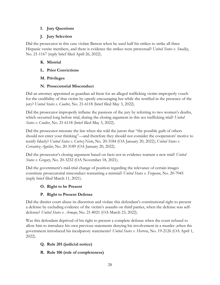#### <span id="page-38-0"></span>**I. Jury Questions**

#### **J. Jury Selection**

<span id="page-38-1"></span>Did the prosecutor in this case violate Batson when he used half his strikes to strike all three Hispanic venire members, and there is evidence the strikes were pretextual? *United States v. Smalley*, No. 21-1167 (reply brief filed April 26, 2022).

#### <span id="page-38-2"></span>**K. Mistrial**

- <span id="page-38-3"></span>**L. Prior Convictions**
- <span id="page-38-4"></span>**M. Privileges**

#### **N. Prosecutorial Misconduct**

<span id="page-38-5"></span>Did an attorney appointed as guardian ad litem for an alleged trafficking victim improperly vouch for the credibility of that victim by openly encouraging her while she testified in the presence of the jury? *United States v. Coulter*, No. 21-6118 (brief filed May 3, 2022).

Did the prosecutor improperly inflame the passions of the jury by referring to two women's deaths, which occurred long before trial, during the closing argument in this sex trafficking trial? *United States v. Coulter*, No. 21-6118 (brief filed May 3, 2022).

Did the prosecutor misstate the law when she told the jurors that "the possible guilt of others should not enter your thinking"—and therefore they should not consider the cooperators' motive to testify falsely? *United States v. Cortez-Nieto*, No. 20-3184 (OA January 20, 2022); *United States v. Cervantez-Aguilar*, No. 20-3189 (OA January 20, 2022).

Did the prosecutor's closing argument based on facts not in evidence warrant a new trial? *United States v. Gregory*, No. 20-3232 (OA November 18, 2021).

Did the government's mid-trial change of position regarding the relevance of certain images constitute prosecutorial misconduct warranting a mistrial? *United States v. Ferguson*, No. 20-7045 (reply brief filed March 11, 2021).

#### <span id="page-38-6"></span>**O. Right to be Present**

#### **P. Right to Present Defense**

<span id="page-38-7"></span>Did the district court abuse its discretion and violate this defendant's constitutional right to present a defense by excluding evidence of the victim's assaults on third parties, when the defense was selfdefense? *United States v. Armajo*, No. 21-8021 (OA March 23, 2022).

Was this defendant deprived of his right to present a complete defense when the court refused to allow him to introduce his own previous statements denying his involvement in a murder ,when the government introduced his inculpatory statements? *United States v. Herrera*, No. 19-2126 (OA April 1, 2022).

# <span id="page-38-8"></span>**Q. Rule 201 (judicial notice)**

<span id="page-38-9"></span>**R. Rule 106 (rule of completeness)**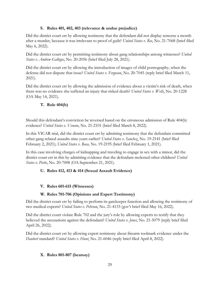#### **S. Rules 401, 402, 403 (relevance & undue prejudice)**

<span id="page-39-0"></span>Did the district court err by allowing testimony that the defendant did not display remorse a month after a murder, because it was irrelevant to proof of guilt? *United States v. Ree*, No. 21-7068 (brief filed May 6, 2022).

Did the district court err by permitting testimony about gang relationships among witnesses? *United States v. Andrew Gallegos*, No. 20-2056 (brief filed July 28, 2021).

Did the district court err by allowing the introduction of images of child pornography, when the defense did not dispute that issue? *United States v. Ferguson*, No. 20-7045 (reply brief filed March 11, 2021).

Did the district court err by allowing the admission of evidence about a victim's risk of death, when there was no evidence she suffered an injury that risked death? *United States v. Wells*, No. 20-1228 (OA May 14, 2021).

# <span id="page-39-1"></span>**T. Rule 404(b)**

Should this defendant's conviction be reversed based on the erroneous admission of Rule 404(b) evidence? *United States v. Veneno*, No. 21-2101 (brief filed March 8, 2022).

In this VICAR trial, did the district court err by admitting testimony that the defendant committed other gang-related assaults nine years earlier? *United States v. Sanchez*, No. 19-2141 (brief filed February 2, 2021); *United States v. Baca,* No. 19-2195 (brief filed February 1, 2021).

In this case involving charges of kidnapping and traveling to engage in sex with a minor, did the district court err in this by admitting evidence that the defendant molested other children? *United States v. Piette*, No. 20-7008 (OA September 21, 2021).

#### <span id="page-39-2"></span>**U. Rules 412, 413 & 414 (Sexual Assault Evidence)**

#### <span id="page-39-3"></span>**V. Rules 601-615 (Witnesses)**

#### **W. Rules 701-706 (Opinions and Expert Testimony)**

<span id="page-39-4"></span>Did the district court err by failing to perform its gatekeeper function and allowing the testimony of two medical experts? *United States v. Pehrson*, No. 21-4133 (gov't brief filed May 16, 2022).

Did the district court violate Rule 702 and the jury's role by allowing experts to testify that they believed the accusations against the defendant? *United States v. Jones*, No. 21-5079 (reply brief filed April 26, 2022).

Did the district court err by allowing expert testimony about firearm toolmark evidence under the *Daubert* standard? *United States v. Hunt*, No. 21-6046 (reply brief filed April 8, 2022).

#### <span id="page-39-5"></span>**X. Rules 801-807 (hearsay)**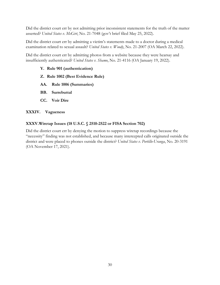Did the district court err by not admitting prior inconsistent statements for the truth of the matter asserted? *United States v. McGirt*, No. 21-7048 (gov't brief filed May 25, 2022).

Did the district court err by admitting a victim's statements made to a doctor during a medical examination related to sexual assault? *United States v. Woody*, No. 21-2007 (OA March 22, 2022).

<span id="page-40-0"></span>Did the district court err by admitting photos from a website because they were hearsay and insufficiently authenticated? *United States v. Shamo*, No. 21-4116 (OA January 19, 2022).

- **Y. Rule 901 (authentication)**
- <span id="page-40-1"></span>**Z. Rule 1002 (Best Evidence Rule)**
- <span id="page-40-2"></span>**AA. Rule 1006 (Summaries)**
- <span id="page-40-3"></span>**BB. Surrebuttal**
- **CC. Voir Dire**

#### <span id="page-40-5"></span><span id="page-40-4"></span>**XXXIV. Vagueness**

#### <span id="page-40-6"></span>**XXXV.Wiretap Issues (18 U.S.C. § 2510-2522 or FISA Section 702)**

Did the district court err by denying the motion to suppress wiretap recordings because the "necessity" finding was not established, and because many intercepted calls originated outside the district and were placed to phones outside the district? *United States v. Portillo-Uranga*, No. 20-3191 (OA November 17, 2021).